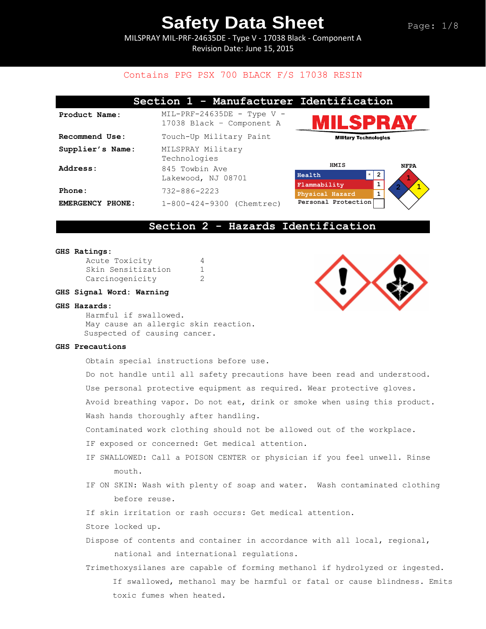MILSPRAY MIL-PRF-24635DE - Type V - 17038 Black - Component A Revision Date: June 15, 2015

### Contains PPG PSX 700 BLACK F/S 17038 RESIN

|                                   | Section 1 - Manufacturer Identification                   |                              |             |
|-----------------------------------|-----------------------------------------------------------|------------------------------|-------------|
| Product Name:                     | $MIL-PRF-24635DE$ - Type V -<br>17038 Black - Component A | ILSPRAY                      |             |
| Recommend Use:                    | Touch-Up Military Paint                                   | <b>Military Technologies</b> |             |
| Supplier's Name:                  | MILSPRAY Military<br>Technologies                         |                              |             |
| Address:                          | 845 Towbin Ave                                            | HMIS<br>$\star$              | <b>NFPA</b> |
|                                   | Lakewood, NJ 08701                                        | Health<br>Flammability       | -2          |
| Phone:                            | $732 - 886 - 2223$                                        | Physical Hazard              | 1           |
| <b>EMERGENCY</b><br><b>PHONE:</b> | 1-800-424-9300 (Chemtrec)                                 | Personal Protection          |             |

### **Section 2 - Hazards Identification**

#### **GHS Ratings:**

| Acute Toxicity     |              |
|--------------------|--------------|
| Skin Sensitization | $\mathbf{1}$ |
| Carcinogenicity    | 2            |

### **GHS Signal Word: Warning**

#### **GHS Hazards:**

Harmful if swallowed. May cause an allergic skin reaction. Suspected of causing cancer.

### **GHS Precautions**

Obtain special instructions before use.

Do not handle until all safety precautions have been read and understood.

Use personal protective equipment as required. Wear protective gloves.

Avoid breathing vapor. Do not eat, drink or smoke when using this product. Wash hands thoroughly after handling.

Contaminated work clothing should not be allowed out of the workplace.

- IF exposed or concerned: Get medical attention.
- IF SWALLOWED: Call a POISON CENTER or physician if you feel unwell. Rinse mouth.
- IF ON SKIN: Wash with plenty of soap and water. Wash contaminated clothing before reuse.
- If skin irritation or rash occurs: Get medical attention.
- Store locked up.
- Dispose of contents and container in accordance with all local, regional, national and international regulations.
- Trimethoxysilanes are capable of forming methanol if hydrolyzed or ingested. If swallowed, methanol may be harmful or fatal or cause blindness. Emits toxic fumes when heated.

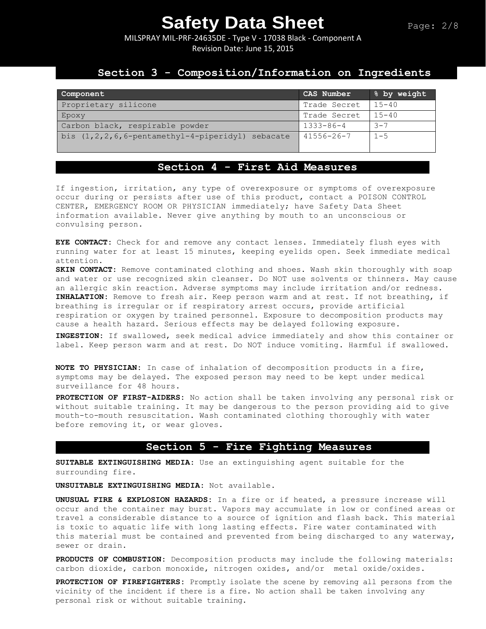MILSPRAY MIL-PRF-24635DE - Type V - 17038 Black - Component A Revision Date: June 15, 2015

### **Section 3 - Composition/Information on Ingredients**

| Component                                                  | CAS Number       | % by weight |
|------------------------------------------------------------|------------------|-------------|
| Proprietary silicone                                       | Trade Secret     | $15 - 40$   |
| Epoxy                                                      | Trade Secret     | $15 - 40$   |
| Carbon black, respirable powder                            | $1333 - 86 - 4$  | $-7$        |
| bis $(1, 2, 2, 6, 6$ -pentamethyl-4-piperidyl)<br>sebacate | $41556 - 26 - 7$ | $1 - 5$     |

## **Section 4 - First Aid Measures**

If ingestion, irritation, any type of overexposure or symptoms of overexposure occur during or persists after use of this product, contact a POISON CONTROL CENTER, EMERGENCY ROOM OR PHYSICIAN immediately; have Safety Data Sheet information available. Never give anything by mouth to an unconscious or convulsing person.

**EYE CONTACT:** Check for and remove any contact lenses. Immediately flush eyes with running water for at least 15 minutes, keeping eyelids open. Seek immediate medical attention.

**SKIN CONTACT:** Remove contaminated clothing and shoes. Wash skin thoroughly with soap and water or use recognized skin cleanser. Do NOT use solvents or thinners. May cause an allergic skin reaction. Adverse symptoms may include irritation and/or redness. **INHALATION:** Remove to fresh air. Keep person warm and at rest. If not breathing, if breathing is irregular or if respiratory arrest occurs, provide artificial respiration or oxygen by trained personnel. Exposure to decomposition products may cause a health hazard. Serious effects may be delayed following exposure.

**INGESTION:** If swallowed, seek medical advice immediately and show this container or label. Keep person warm and at rest. Do NOT induce vomiting. Harmful if swallowed.

**NOTE TO PHYSICIAN:** In case of inhalation of decomposition products in a fire, symptoms may be delayed. The exposed person may need to be kept under medical surveillance for 48 hours.

**PROTECTION OF FIRST-AIDERS:** No action shall be taken involving any personal risk or without suitable training. It may be dangerous to the person providing aid to give mouth-to-mouth resuscitation. Wash contaminated clothing thoroughly with water before removing it, or wear gloves.

### **Section 5 - Fire Fighting Measures**

**SUITABLE EXTINGUISHING MEDIA:** Use an extinguishing agent suitable for the surrounding fire.

**UNSUITABLE EXTINGUISHING MEDIA:** Not available.

**UNUSUAL FIRE & EXPLOSION HAZARDS:** In a fire or if heated, a pressure increase will occur and the container may burst. Vapors may accumulate in low or confined areas or travel a considerable distance to a source of ignition and flash back. This material is toxic to aquatic life with long lasting effects. Fire water contaminated with this material must be contained and prevented from being discharged to any waterway, sewer or drain.

**PRODUCTS OF COMBUSTION:** Decomposition products may include the following materials: carbon dioxide, carbon monoxide, nitrogen oxides, and/or metal oxide/oxides.

**PROTECTION OF FIREFIGHTERS:** Promptly isolate the scene by removing all persons from the vicinity of the incident if there is a fire. No action shall be taken involving any personal risk or without suitable training.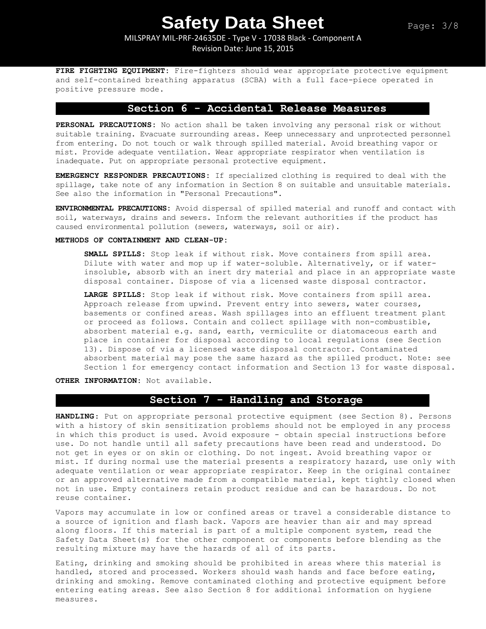### MILSPRAY MIL-PRF-24635DE - Type V - 17038 Black - Component A Revision Date: June 15, 2015

**FIRE FIGHTING EQUIPMENT:** Fire-fighters should wear appropriate protective equipment and self-contained breathing apparatus (SCBA) with a full face-piece operated in positive pressure mode.

### **Section 6 - Accidental Release Measures**

**PERSONAL PRECAUTIONS:** No action shall be taken involving any personal risk or without suitable training. Evacuate surrounding areas. Keep unnecessary and unprotected personnel from entering. Do not touch or walk through spilled material. Avoid breathing vapor or mist. Provide adequate ventilation. Wear appropriate respirator when ventilation is inadequate. Put on appropriate personal protective equipment.

**EMERGENCY RESPONDER PRECAUTIONS:** If specialized clothing is required to deal with the spillage, take note of any information in Section 8 on suitable and unsuitable materials. See also the information in "Personal Precautions".

**ENVIRONMENTAL PRECAUTIONS:** Avoid dispersal of spilled material and runoff and contact with soil, waterways, drains and sewers. Inform the relevant authorities if the product has caused environmental pollution (sewers, waterways, soil or air).

### **METHODS OF CONTAINMENT AND CLEAN-UP:**

**SMALL SPILLS:** Stop leak if without risk. Move containers from spill area. Dilute with water and mop up if water-soluble. Alternatively, or if waterinsoluble, absorb with an inert dry material and place in an appropriate waste disposal container. Dispose of via a licensed waste disposal contractor.

**LARGE SPILLS:** Stop leak if without risk. Move containers from spill area. Approach release from upwind. Prevent entry into sewers, water courses, basements or confined areas. Wash spillages into an effluent treatment plant or proceed as follows. Contain and collect spillage with non-combustible, absorbent material e.g. sand, earth, vermiculite or diatomaceous earth and place in container for disposal according to local regulations (see Section 13). Dispose of via a licensed waste disposal contractor. Contaminated absorbent material may pose the same hazard as the spilled product. Note: see Section 1 for emergency contact information and Section 13 for waste disposal.

**OTHER INFORMATION:** Not available.

## **Section 7 - Handling and Storage**

**HANDLING**: Put on appropriate personal protective equipment (see Section 8). Persons with a history of skin sensitization problems should not be employed in any process in which this product is used. Avoid exposure - obtain special instructions before use. Do not handle until all safety precautions have been read and understood. Do not get in eyes or on skin or clothing. Do not ingest. Avoid breathing vapor or mist. If during normal use the material presents a respiratory hazard, use only with adequate ventilation or wear appropriate respirator. Keep in the original container or an approved alternative made from a compatible material, kept tightly closed when not in use. Empty containers retain product residue and can be hazardous. Do not reuse container.

Vapors may accumulate in low or confined areas or travel a considerable distance to a source of ignition and flash back. Vapors are heavier than air and may spread along floors. If this material is part of a multiple component system, read the Safety Data Sheet(s) for the other component or components before blending as the resulting mixture may have the hazards of all of its parts.

Eating, drinking and smoking should be prohibited in areas where this material is handled, stored and processed. Workers should wash hands and face before eating, drinking and smoking. Remove contaminated clothing and protective equipment before entering eating areas. See also Section 8 for additional information on hygiene measures.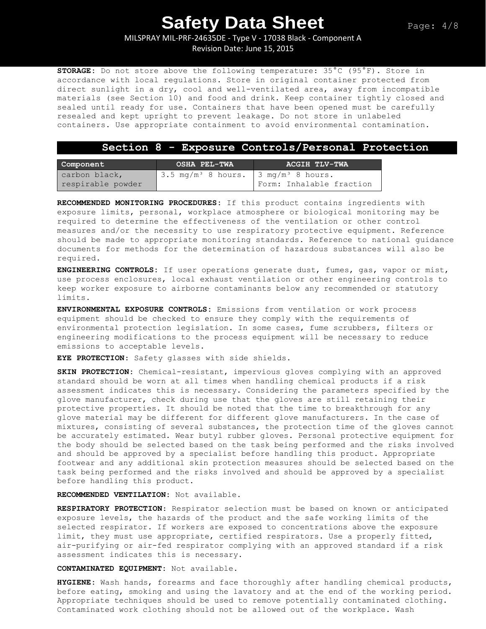MILSPRAY MIL-PRF-24635DE - Type V - 17038 Black - Component A

Revision Date: June 15, 2015

**STORAGE:** Do not store above the following temperature: 35°C (95°F). Store in accordance with local regulations. Store in original container protected from direct sunlight in a dry, cool and well-ventilated area, away from incompatible materials (see Section 10) and food and drink. Keep container tightly closed and sealed until ready for use. Containers that have been opened must be carefully resealed and kept upright to prevent leakage. Do not store in unlabeled containers. Use appropriate containment to avoid environmental contamination.

### **Section 8 - Exposure Controls/Personal Protection**

| Component         | OSHA PEL-TWA                                              | ACGIH TLV-TWA            |  |
|-------------------|-----------------------------------------------------------|--------------------------|--|
| carbon black,     | $3.5 \text{ mg/m}^3$ 8 hours. $3 \text{ mg/m}^3$ 8 hours. |                          |  |
| respirable powder |                                                           | Form: Inhalable fraction |  |

**RECOMMENDED MONITORING PROCEDURES:** If this product contains ingredients with exposure limits, personal, workplace atmosphere or biological monitoring may be required to determine the effectiveness of the ventilation or other control measures and/or the necessity to use respiratory protective equipment. Reference should be made to appropriate monitoring standards. Reference to national guidance documents for methods for the determination of hazardous substances will also be required.

**ENGINEERING CONTROLS:** If user operations generate dust, fumes, gas, vapor or mist, use process enclosures, local exhaust ventilation or other engineering controls to keep worker exposure to airborne contaminants below any recommended or statutory limits.

**ENVIRONMENTAL EXPOSURE CONTROLS:** Emissions from ventilation or work process equipment should be checked to ensure they comply with the requirements of environmental protection legislation. In some cases, fume scrubbers, filters or engineering modifications to the process equipment will be necessary to reduce emissions to acceptable levels.

**EYE PROTECTION**: Safety glasses with side shields.

**SKIN PROTECTION:** Chemical-resistant, impervious gloves complying with an approved standard should be worn at all times when handling chemical products if a risk assessment indicates this is necessary. Considering the parameters specified by the glove manufacturer, check during use that the gloves are still retaining their protective properties. It should be noted that the time to breakthrough for any glove material may be different for different glove manufacturers. In the case of mixtures, consisting of several substances, the protection time of the gloves cannot be accurately estimated. Wear butyl rubber gloves. Personal protective equipment for the body should be selected based on the task being performed and the risks involved and should be approved by a specialist before handling this product. Appropriate footwear and any additional skin protection measures should be selected based on the task being performed and the risks involved and should be approved by a specialist before handling this product.

**RECOMMENDED VENTILATION:** Not available.

**RESPIRATORY PROTECTION**: Respirator selection must be based on known or anticipated exposure levels, the hazards of the product and the safe working limits of the selected respirator. If workers are exposed to concentrations above the exposure limit, they must use appropriate, certified respirators. Use a properly fitted, air-purifying or air-fed respirator complying with an approved standard if a risk assessment indicates this is necessary.

**CONTAMINATED EQUIPMENT:** Not available.

**HYGIENE:** Wash hands, forearms and face thoroughly after handling chemical products, before eating, smoking and using the lavatory and at the end of the working period. Appropriate techniques should be used to remove potentially contaminated clothing. Contaminated work clothing should not be allowed out of the workplace. Wash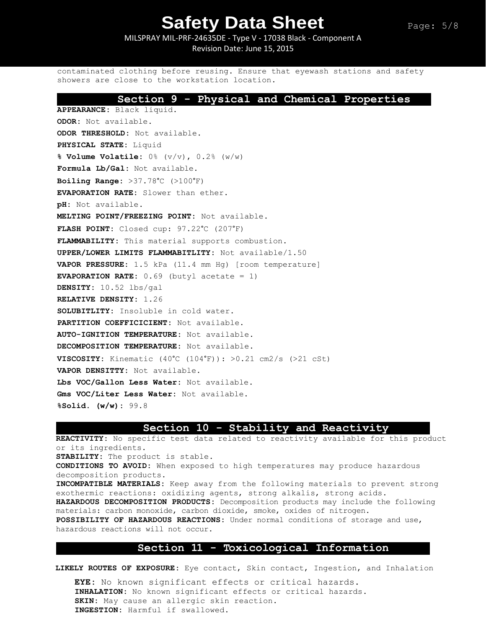MILSPRAY MIL-PRF-24635DE - Type V - 17038 Black - Component A Revision Date: June 15, 2015

contaminated clothing before reusing. Ensure that eyewash stations and safety showers are close to the workstation location.

### **Section 9 - Physical and Chemical Properties**

**APPEARANCE:** Black liquid. **ODOR:** Not available. **ODOR THRESHOLD:** Not available. **PHYSICAL STATE:** Liquid **% Volume Volatile:** 0% (v/v), 0.2% (w/w) **Formula Lb/Gal:** Not available. **Boiling Range:** >37.78°C (>100°F) **EVAPORATION RATE:** Slower than ether. **pH:** Not available. **MELTING POINT/FREEZING POINT:** Not available. **FLASH POINT:** Closed cup: 97.22°C (207°F) **FLAMMABILITY:** This material supports combustion. **UPPER/LOWER LIMITS FLAMMABITLITY:** Not available/1.50 **VAPOR PRESSURE:** 1.5 kPa (11.4 mm Hg) [room temperature] **EVAPORATION RATE:** 0.69 (butyl acetate = 1) **DENSITY:** 10.52 lbs/gal **RELATIVE DENSITY:** 1.26 **SOLUBITLITY:** Insoluble in cold water. **PARTITION COEFFICICIENT:** Not available. **AUTO-IGNITION TEMPERATURE:** Not available. **DECOMPOSITION TEMPERATURE:** Not available. **VISCOSITY:** Kinematic  $(40^{\circ}\text{C} (104^{\circ}\text{F}))$ :  $>0.21$  cm2/s  $(>21$  cSt) **VAPOR DENSITTY:** Not available. **Lbs VOC/Gallon Less Water:** Not available. **Gms VOC/Liter Less Water:** Not available. **%Solid. (w/w):** 99.8

### **Section 10 - Stability and Reactivity**

**REACTIVITY:** No specific test data related to reactivity available for this product or its ingredients. **STABILITY:** The product is stable. **CONDITIONS TO AVOID:** When exposed to high temperatures may produce hazardous decomposition products. **INCOMPATIBLE MATERIALS:** Keep away from the following materials to prevent strong exothermic reactions: oxidizing agents, strong alkalis, strong acids. **HAZARDOUS DECOMPOSITION PRODUCTS:** Decomposition products may include the following materials: carbon monoxide, carbon dioxide, smoke, oxides of nitrogen**. POSSIBILITY OF HAZARDOUS REACTIONS:** Under normal conditions of storage and use, hazardous reactions will not occur.

### **Section 11 - Toxicological Information**

**LIKELY ROUTES OF EXPOSURE:** Eye contact, Skin contact, Ingestion, and Inhalation

**EYE:** No known significant effects or critical hazards. **INHALATION:** No known significant effects or critical hazards. **SKIN:** May cause an allergic skin reaction. **INGESTION:** Harmful if swallowed.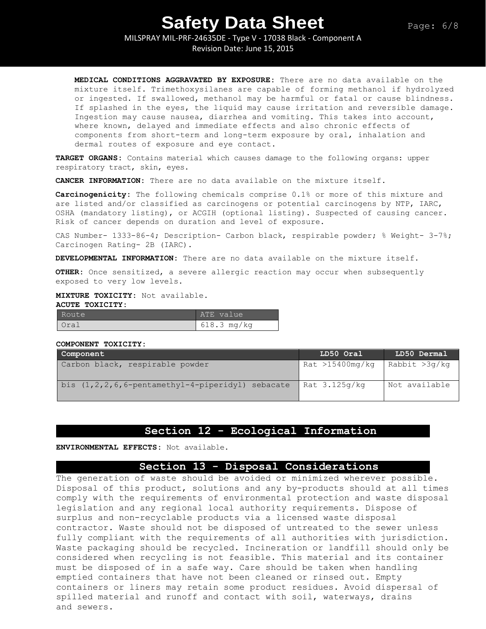MILSPRAY MIL-PRF-24635DE - Type V - 17038 Black - Component A

Revision Date: June 15, 2015

**MEDICAL CONDITIONS AGGRAVATED BY EXPOSURE:** There are no data available on the mixture itself. Trimethoxysilanes are capable of forming methanol if hydrolyzed or ingested. If swallowed, methanol may be harmful or fatal or cause blindness. If splashed in the eyes, the liquid may cause irritation and reversible damage. Ingestion may cause nausea, diarrhea and vomiting. This takes into account, where known, delayed and immediate effects and also chronic effects of components from short-term and long-term exposure by oral, inhalation and dermal routes of exposure and eye contact.

**TARGET ORGANS:** Contains material which causes damage to the following organs: upper respiratory tract, skin, eyes.

**CANCER INFORMATION:** There are no data available on the mixture itself.

**Carcinogenicity:** The following chemicals comprise 0.1% or more of this mixture and are listed and/or classified as carcinogens or potential carcinogens by NTP, IARC, OSHA (mandatory listing), or ACGIH (optional listing). Suspected of causing cancer. Risk of cancer depends on duration and level of exposure.

CAS Number- 1333-86-4; Description- Carbon black, respirable powder; % Weight- 3-7%; Carcinogen Rating- 2B (IARC).

**DEVELOPMENTAL INFORMATION:** There are no data available on the mixture itself.

**OTHER:** Once sensitized, a severe allergic reaction may occur when subsequently exposed to very low levels.

### **MIXTURE TOXICITY:** Not available.

### **ACUTE TOXICITY:**

| Route | ATE value   |
|-------|-------------|
| Oral  | 618.3 mg/kg |

#### **COMPONENT TOXICITY:**

| Component                                               | LD50 Oral       | LD50 Dermal   |
|---------------------------------------------------------|-----------------|---------------|
| Carbon black, respirable powder                         | Rat >15400mg/kg | Rabbit >3g/kg |
| bis $(1, 2, 2, 6, 6$ -pentamethyl-4-piperidyl) sebacate | Rat 3.125q/kq   | Not available |

### **Section 12 - Ecological Information**

**ENVIRONMENTAL EFFECTS:** Not available.

### **Section 13 - Disposal Considerations**

The generation of waste should be avoided or minimized wherever possible. Disposal of this product, solutions and any by-products should at all times comply with the requirements of environmental protection and waste disposal legislation and any regional local authority requirements. Dispose of surplus and non-recyclable products via a licensed waste disposal contractor. Waste should not be disposed of untreated to the sewer unless fully compliant with the requirements of all authorities with jurisdiction. Waste packaging should be recycled. Incineration or landfill should only be considered when recycling is not feasible. This material and its container must be disposed of in a safe way. Care should be taken when handling emptied containers that have not been cleaned or rinsed out. Empty containers or liners may retain some product residues. Avoid dispersal of spilled material and runoff and contact with soil, waterways, drains and sewers.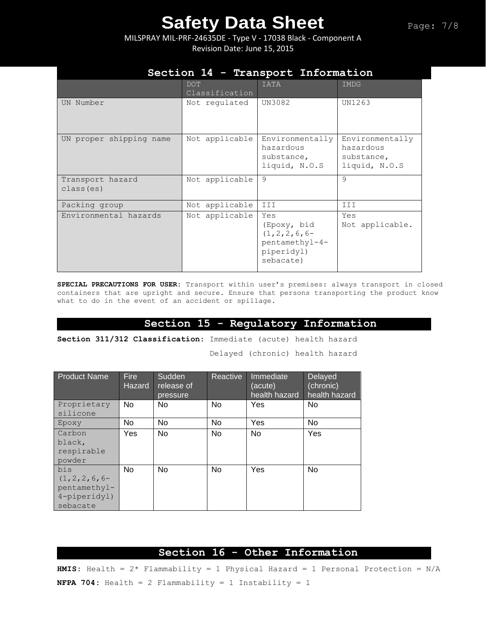MILSPRAY MIL-PRF-24635DE - Type V - 17038 Black - Component A Revision Date: June 15, 2015

|                                | DOT<br>Classification | <b>IATA</b>                                                                          | IMDG                                                        |
|--------------------------------|-----------------------|--------------------------------------------------------------------------------------|-------------------------------------------------------------|
| UN Number                      | Not regulated         | UN3082                                                                               | UN1263                                                      |
| UN proper shipping name        | Not applicable        | Environmentally<br>hazardous<br>substance,<br>liquid, N.O.S                          | Environmentally<br>hazardous<br>substance,<br>liquid, N.O.S |
| Transport hazard<br>class (es) | Not applicable        | 9                                                                                    | 9                                                           |
| Packing group                  | Not applicable        | III                                                                                  | III                                                         |
| Environmental hazards          | Not applicable        | Yes<br>(Epoxy, bid<br>$(1, 2, 2, 6, 6-$<br>pentamethyl-4-<br>piperidyl)<br>sebacate) | Yes<br>Not applicable.                                      |

## **Section 14 - Transport Information**

**SPECIAL PRECAUTIONS FOR USER:** Transport within user's premises: always transport in closed containers that are upright and secure. Ensure that persons transporting the product know what to do in the event of an accident or spillage.

### **Section 15 - Regulatory Information**

**Section 311/312 Classification:** Immediate (acute) health hazard

Delayed (chronic) health hazard

| <b>Product Name</b> | <b>Fire</b><br><b>Hazard</b> | Sudden<br>release of<br>pressure | Reactive | Immediate<br>(acute)<br>health hazard | Delayed<br>(chronic)<br>health hazard |
|---------------------|------------------------------|----------------------------------|----------|---------------------------------------|---------------------------------------|
| Proprietary         | No.                          | No.                              | No.      | Yes                                   | No.                                   |
| silicone            |                              |                                  |          |                                       |                                       |
| Epoxy               | No.                          | No                               | No       | Yes                                   | No.                                   |
| Carbon              | Yes                          | <b>No</b>                        | No       | No.                                   | Yes                                   |
| black,              |                              |                                  |          |                                       |                                       |
| respirable          |                              |                                  |          |                                       |                                       |
| powder              |                              |                                  |          |                                       |                                       |
| bis                 | No                           | No                               | No       | Yes                                   | No                                    |
| $(1, 2, 2, 6, 6-$   |                              |                                  |          |                                       |                                       |
| pentamethyl-        |                              |                                  |          |                                       |                                       |
| $4$ -piperidyl)     |                              |                                  |          |                                       |                                       |
| sebacate            |                              |                                  |          |                                       |                                       |

## **Section 16 - Other Information**

**HMIS:** Health = 2\* Flammability = 1 Physical Hazard = 1 Personal Protection = N/A **NFPA 704:** Health = 2 Flammability = 1 Instability = 1